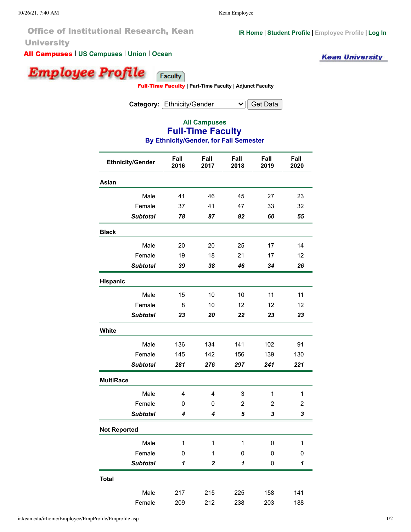Office of Institutional Research, Kean **University** 

All Campuses | **[US Campuses](http://ir.kean.edu/irhome/Employee/EmpProfile/Emprofile.asp?Camp=NJ&FTPT=FT&empType=faculty&Cat=ethn_gender&College=All&Department=All&Term=FA)** | **[Union](http://ir.kean.edu/irhome/Employee/EmpProfile/Emprofile.asp?Camp=NJ_Union&FTPT=FT&empType=faculty&Cat=ethn_gender&College=All&Department=All&Term=FA)** | **[Ocean](http://ir.kean.edu/irhome/Employee/EmpProfile/Emprofile.asp?Camp=NJ_Ocean&FTPT=FT&empType=faculty&Cat=ethn_gender&College=All&Department=All&Term=FA)**

**Kean University** 

**[IR Home](http://ir.kean.edu/irhome/IRHome.asp) | [Student Profile](http://ir.kean.edu/irhome/Student/StuProfile/Student.asp?EDR=E&StuGrp=All&Category=UG_GR&Camp=All&College=&Dept=&Prog=&Maj=) | [Employee Profile](http://ir.kean.edu/irhome/Employee/EmpProfile/Emprofile.asp) | [Log In](http://ir.kean.edu/irhome/LoginOnly/default.asp)**

Employee Profile Faculty

Full-Time Faculty | **[Part-Time Faculty](http://ir.kean.edu/irhome/Employee/EmpProfile/Emprofile.asp?empType=faculty&FTPT=PT&Camp=&Cat=ethn_gender&College=All&Department=All&Term=FA)** | **[Adjunct Faculty](http://ir.kean.edu/irhome/Employee/EmpProfile/Emprofile.asp?empType=adjunct&FTPT=PT&Camp=&Cat=ethn_gender&College=All&Department=All&Term=FA)**

**Category:** Ethnicity/Gender  $\vee$  Get Data

## **All Campuses Full-Time Faculty By Ethnicity/Gender, for Fall Semester**

| <b>Ethnicity/Gender</b> | Fall<br>2016 | Fall<br>2017     | Fall<br>2018 | Fall<br>2019 | Fall<br>2020 |
|-------------------------|--------------|------------------|--------------|--------------|--------------|
| Asian                   |              |                  |              |              |              |
| Male                    | 41           | 46               | 45           | 27           | 23           |
| Female                  | 37           | 41               | 47           | 33           | 32           |
| <b>Subtotal</b>         | 78           | 87               | 92           | 60           | 55           |
| <b>Black</b>            |              |                  |              |              |              |
| Male                    | 20           | 20               | 25           | 17           | 14           |
| Female                  | 19           | 18               | 21           | 17           | 12           |
| <b>Subtotal</b>         | 39           | 38               | 46           | 34           | 26           |
| Hispanic                |              |                  |              |              |              |
| Male                    | 15           | 10               | 10           | 11           | 11           |
| Female                  | 8            | 10               | 12           | 12           | 12           |
| <b>Subtotal</b>         | 23           | 20               | 22           | 23           | 23           |
| White                   |              |                  |              |              |              |
| Male                    | 136          | 134              | 141          | 102          | 91           |
| Female                  | 145          | 142              | 156          | 139          | 130          |
| <b>Subtotal</b>         | 281          | 276              | 297          | 241          | 221          |
| <b>MultiRace</b>        |              |                  |              |              |              |
| Male                    | 4            | 4                | 3            | 1            | 1            |
| Female                  | 0            | 0                | 2            | 2            | 2            |
| <b>Subtotal</b>         | 4            | 4                | 5            | 3            | 3            |
| <b>Not Reported</b>     |              |                  |              |              |              |
| Male                    | 1            | 1                | 1            | 0            | 1            |
| Female                  | 0            | $\mathbf 1$      | 0            | 0            | 0            |
| <b>Subtotal</b>         | 1            | $\boldsymbol{2}$ | 1            | 0            | 1            |
| <b>Total</b>            |              |                  |              |              |              |
| Male                    | 217          | 215              | 225          | 158          | 141          |
| Female                  | 209          | 212              | 238          | 203          | 188          |

ir.kean.edu/irhome/Employee/EmpProfile/Emprofile.asp 1/2